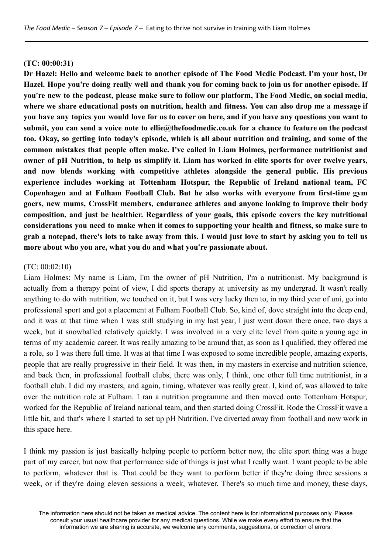#### **(TC: 00:00:31)**

**Dr Hazel: Hello and welcome back to another episode of The Food Medic Podcast. I'm your host, Dr** Hazel. Hope you're doing really well and thank you for coming back to join us for another episode. If you're new to the podcast, please make sure to follow our platform, The Food Medic, on social media, where we share educational posts on nutrition, health and fitness. You can also drop me a message if you have any topics you would love for us to cover on here, and if you have any questions you want to **submit, you can send a voice note to ellie@thefoodmedic.co.uk for a chance to feature on the podcast** too. Okay, so getting into today's episode, which is all about nutrition and training, and some of the **common mistakes that people often make. I've called in Liam Holmes, performance nutritionist and** owner of pH Nutrition, to help us simplify it. Liam has worked in elite sports for over twelve vears, **and now blends working with competitive athletes alongside the general public. His previous experience includes working at Tottenham Hotspur, the Republic of Ireland national team, FC Copenhagen and at Fulham Football Club. But he also works with everyone from first-time gym goers, new mums, CrossFit members, endurance athletes and anyone looking to improve their body composition, and just be healthier. Regardless of your goals, this episode covers the key nutritional** considerations you need to make when it comes to supporting your health and fitness, so make sure to grab a notepad, there's lots to take away from this. I would just love to start by asking you to tell us **more about who you are, what you do and what you're passionate about.**

#### (TC: 00:02:10)

Liam Holmes: My name is Liam, I'm the owner of pH Nutrition, I'm a nutritionist. My background is actually from a therapy point of view, I did sports therapy at university as my undergrad. It wasn't really anything to do with nutrition, we touched on it, but I was very lucky then to, in my third year of uni, go into professional sport and got a placement at Fulham Football Club. So, kind of, dove straight into the deep end, and it was at that time when I was still studying in my last year, I just went down there once, two days a week, but it snowballed relatively quickly. I was involved in a very elite level from quite a young age in terms of my academic career. It was really amazing to be around that, as soon as I qualified, they offered me a role, so I was there full time. It was at that time I was exposed to some incredible people, amazing experts, people that are really progressive in their field. It was then, in my masters in exercise and nutrition science, and back then, in professional football clubs, there was only, I think, one other full time nutritionist, in a football club. I did my masters, and again, timing, whatever was really great. I, kind of, was allowed to take over the nutrition role at Fulham. I ran a nutrition programme and then moved onto Tottenham Hotspur, worked for the Republic of Ireland national team, and then started doing CrossFit. Rode the CrossFit wave a little bit, and that's where I started to set up pH Nutrition. I've diverted away from football and now work in this space here.

I think my passion is just basically helping people to perform better now, the elite sport thing was a huge part of my career, but now that performance side of things is just what I really want. I want people to be able to perform, whatever that is. That could be they want to perform better if they're doing three sessions a week, or if they're doing eleven sessions a week, whatever. There's so much time and money, these days,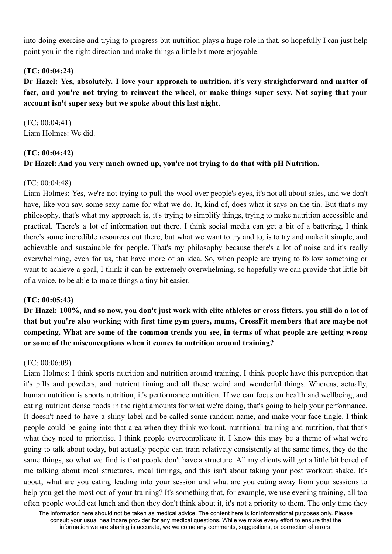into doing exercise and trying to progress but nutrition plays a huge role in that, so hopefully I can just help point you in the right direction and make things a little bit more enjoyable.

## **(TC: 00:04:24)**

**Dr Hazel: Yes, absolutely. I love your approach to nutrition, it's very straightforward and matter of fact, and you're not trying to reinvent the wheel, or make things super sexy. Not saying that your account isn't super sexy but we spoke about this last night.**

(TC: 00:04:41) Liam Holmes: We did.

# **(TC: 00:04:42)**

# **Dr Hazel: And you very much owned up, you're not trying to do that with pH Nutrition.**

# (TC: 00:04:48)

Liam Holmes: Yes, we're not trying to pull the wool over people's eyes, it's not all about sales, and we don't have, like you say, some sexy name for what we do. It, kind of, does what it says on the tin. But that's my philosophy, that's what my approach is, it's trying to simplify things, trying to make nutrition accessible and practical. There's a lot of information out there. I think social media can get a bit of a battering, I think there's some incredible resources out there, but what we want to try and to, is to try and make it simple, and achievable and sustainable for people. That's my philosophy because there's a lot of noise and it's really overwhelming, even for us, that have more of an idea. So, when people are trying to follow something or want to achieve a goal, I think it can be extremely overwhelming, so hopefully we can provide that little bit of a voice, to be able to make things a tiny bit easier.

# **(TC: 00:05:43)**

Dr Hazel: 100%, and so now, you don't just work with elite athletes or cross fitters, you still do a lot of **that but you're also working with first time gym goers, mums, CrossFit members that are maybe not competing. What are some of the common trends you see, in terms of what people are getting wrong or some of the misconceptions when it comes to nutrition around training?**

## (TC: 00:06:09)

Liam Holmes: I think sports nutrition and nutrition around training, I think people have this perception that it's pills and powders, and nutrient timing and all these weird and wonderful things. Whereas, actually, human nutrition is sports nutrition, it's performance nutrition. If we can focus on health and wellbeing, and eating nutrient dense foods in the right amounts for what we're doing, that's going to help your performance. It doesn't need to have a shiny label and be called some random name, and make your face tingle. I think people could be going into that area when they think workout, nutritional training and nutrition, that that's what they need to prioritise. I think people overcomplicate it. I know this may be a theme of what we're going to talk about today, but actually people can train relatively consistently at the same times, they do the same things, so what we find is that people don't have a structure. All my clients will get a little bit bored of me talking about meal structures, meal timings, and this isn't about taking your post workout shake. It's about, what are you eating leading into your session and what are you eating away from your sessions to help you get the most out of your training? It's something that, for example, we use evening training, all too often people would eat lunch and then they don't think about it, it's not a priority to them. The only time they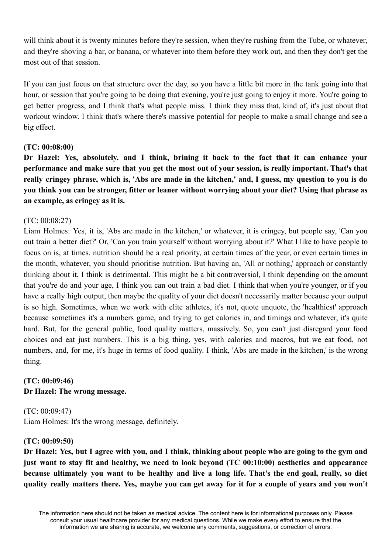will think about it is twenty minutes before they're session, when they're rushing from the Tube, or whatever, and they're shoving a bar, or banana, or whatever into them before they work out, and then they don't get the most out of that session.

If you can just focus on that structure over the day, so you have a little bit more in the tank going into that hour, or session that you're going to be doing that evening, you're just going to enjoy it more. You're going to get better progress, and I think that's what people miss. I think they miss that, kind of, it's just about that workout window. I think that's where there's massive potential for people to make a small change and see a big effect.

# **(TC: 00:08:00)**

**Dr Hazel: Yes, absolutely, and I think, brining it back to the fact that it can enhance your** performance and make sure that you get the most out of your session, is really important. That's that really cringey phrase, which is, 'Abs are made in the kitchen,' and, I guess, my question to you is do you think you can be stronger, fitter or leaner without worrying about your diet? Using that phrase as **an example, as cringey as it is.**

# (TC: 00:08:27)

Liam Holmes: Yes, it is, 'Abs are made in the kitchen,' or whatever, it is cringey, but people say, 'Can you out train a better diet?' Or, 'Can you train yourself without worrying about it?' What I like to have people to focus on is, at times, nutrition should be a real priority, at certain times of the year, or even certain times in the month, whatever, you should prioritise nutrition. But having an, 'All or nothing,' approach or constantly thinking about it, I think is detrimental. This might be a bit controversial, I think depending on the amount that you're do and your age, I think you can out train a bad diet. I think that when you're younger, or if you have a really high output, then maybe the quality of your diet doesn't necessarily matter because your output is so high. Sometimes, when we work with elite athletes, it's not, quote unquote, the 'healthiest' approach because sometimes it's a numbers game, and trying to get calories in, and timings and whatever, it's quite hard. But, for the general public, food quality matters, massively. So, you can't just disregard your food choices and eat just numbers. This is a big thing, yes, with calories and macros, but we eat food, not numbers, and, for me, it's huge in terms of food quality. I think, 'Abs are made in the kitchen,' is the wrong thing.

# **(TC: 00:09:46) Dr Hazel: The wrong message.**

(TC: 00:09:47) Liam Holmes: It's the wrong message, definitely.

## **(TC: 00:09:50)**

Dr Hazel: Yes, but I agree with you, and I think, thinking about people who are going to the gym and **just want to stay fit and healthy, we need to look beyond (TC 00:10:00) aesthetics and appearance** because ultimately you want to be healthy and live a long life. That's the end goal, really, so diet quality really matters there. Yes, maybe you can get away for it for a couple of years and you won't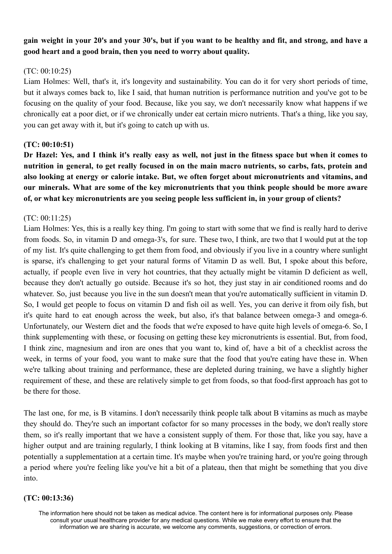# gain weight in your 20's and your 30's, but if you want to be healthy and fit, and strong, and have a **good heart and a good brain, then you need to worry about quality.**

#### $(TC: 00:10:25)$

Liam Holmes: Well, that's it, it's longevity and sustainability. You can do it for very short periods of time, but it always comes back to, like I said, that human nutrition is performance nutrition and you've got to be focusing on the quality of your food. Because, like you say, we don't necessarily know what happens if we chronically eat a poor diet, or if we chronically under eat certain micro nutrients. That's a thing, like you say, you can get away with it, but it's going to catch up with us.

#### **(TC: 00:10:51)**

Dr Hazel: Yes, and I think it's really easy as well, not just in the fitness space but when it comes to nutrition in general, to get really focused in on the main macro nutrients, so carbs, fats, protein and **also looking at energy or calorie intake. But, we often forget about micronutrients and vitamins, and our minerals. What are some of the key micronutrients that you think people should be more aware of, or what key micronutrients are you seeing people less sufficient in, in your group of clients?**

#### (TC: 00:11:25)

Liam Holmes: Yes, this is a really key thing. I'm going to start with some that we find is really hard to derive from foods. So, in vitamin D and omega-3's, for sure. These two, I think, are two that I would put at the top of my list. It's quite challenging to get them from food, and obviously if you live in a country where sunlight is sparse, it's challenging to get your natural forms of Vitamin D as well. But, I spoke about this before, actually, if people even live in very hot countries, that they actually might be vitamin D deficient as well, because they don't actually go outside. Because it's so hot, they just stay in air conditioned rooms and do whatever. So, just because you live in the sun doesn't mean that you're automatically sufficient in vitamin D. So, I would get people to focus on vitamin D and fish oil as well. Yes, you can derive it from oily fish, but it's quite hard to eat enough across the week, but also, it's that balance between omega-3 and omega-6. Unfortunately, our Western diet and the foods that we're exposed to have quite high levels of omega-6. So, I think supplementing with these, or focusing on getting these key micronutrients is essential. But, from food, I think zinc, magnesium and iron are ones that you want to, kind of, have a bit of a checklist across the week, in terms of your food, you want to make sure that the food that you're eating have these in. When we're talking about training and performance, these are depleted during training, we have a slightly higher requirement of these, and these are relatively simple to get from foods, so that food-first approach has got to be there for those.

The last one, for me, is B vitamins. I don't necessarily think people talk about B vitamins as much as maybe they should do. They're such an important cofactor for so many processes in the body, we don't really store them, so it's really important that we have a consistent supply of them. For those that, like you say, have a higher output and are training regularly, I think looking at B vitamins, like I say, from foods first and then potentially a supplementation at a certain time. It's maybe when you're training hard, or you're going through a period where you're feeling like you've hit a bit of a plateau, then that might be something that you dive into.

#### **(TC: 00:13:36)**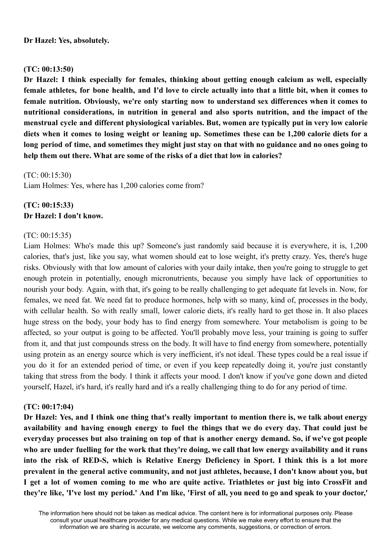## **(TC: 00:13:50)**

**Dr Hazel: I think especially for females, thinking about getting enough calcium as well, especially** female athletes, for bone health, and I'd love to circle actually into that a little bit, when it comes to **female nutrition. Obviously, we're only starting now to understand sex differences when it comes to nutritional considerations, in nutrition in general and also sports nutrition, and the impact of the menstrual cycle and different physiological variables. But, women are typically put in very low calorie** diets when it comes to losing weight or leaning up. Sometimes these can be 1.200 calorie diets for a long period of time, and sometimes they might just stay on that with no guidance and no ones going to **help them out there. What are some of the risks of a diet that low in calories?**

(TC: 00:15:30)

Liam Holmes: Yes, where has 1,200 calories come from?

# **(TC: 00:15:33) Dr Hazel: I don't know.**

# (TC: 00:15:35)

Liam Holmes: Who's made this up? Someone's just randomly said because it is everywhere, it is, 1,200 calories, that's just, like you say, what women should eat to lose weight, it's pretty crazy. Yes, there's huge risks. Obviously with that low amount of calories with your daily intake, then you're going to struggle to get enough protein in potentially, enough micronutrients, because you simply have lack of opportunities to nourish your body. Again, with that, it's going to be really challenging to get adequate fat levels in. Now, for females, we need fat. We need fat to produce hormones, help with so many, kind of, processes in the body, with cellular health. So with really small, lower calorie diets, it's really hard to get those in. It also places huge stress on the body, your body has to find energy from somewhere. Your metabolism is going to be affected, so your output is going to be affected. You'll probably move less, your training is going to suffer from it, and that just compounds stress on the body. It will have to find energy from somewhere, potentially using protein as an energy source which is very inefficient, it's not ideal. These types could be a real issue if you do it for an extended period of time, or even if you keep repeatedly doing it, you're just constantly taking that stress from the body. I think it affects your mood. I don't know if you've gone down and dieted yourself, Hazel, it's hard, it's really hard and it's a really challenging thing to do for any period of time.

## **(TC: 00:17:04)**

Dr Hazel: Yes, and I think one thing that's really important to mention there is, we talk about energy **availability and having enough energy to fuel the things that we do every day. That could just be** everyday processes but also training on top of that is another energy demand. So, if we've got people who are under fuelling for the work that they're doing, we call that low energy availability and it runs into the risk of RED-S, which is Relative Energy Deficiency in Sport. I think this is a lot more **prevalent in the general active community, and not just athletes, because, I don't know about you, but** I get a lot of women coming to me who are quite active. Triathletes or just big into CrossFit and they're like, 'I've lost my period.' And I'm like, 'First of all, you need to go and speak to your doctor,'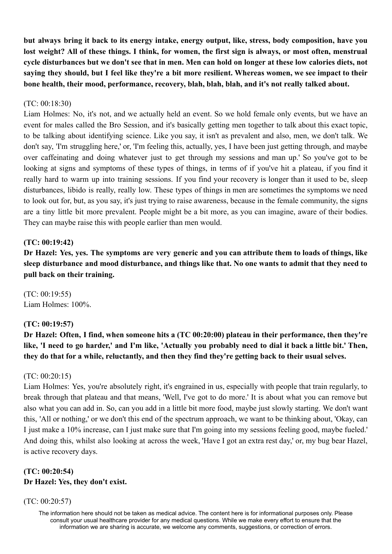**but always bring it back to its energy intake, energy output, like, stress, body composition, have you** lost weight? All of these things. I think, for women, the first sign is always, or most often, menstrual cycle disturbances but we don't see that in men. Men can hold on longer at these low calories diets, not saving they should, but I feel like they're a bit more resilient. Whereas women, we see impact to their **bone health, their mood, performance, recovery, blah, blah, blah, and it's not really talked about.**

### (TC: 00:18:30)

Liam Holmes: No, it's not, and we actually held an event. So we hold female only events, but we have an event for males called the Bro Session, and it's basically getting men together to talk about this exact topic, to be talking about identifying science. Like you say, it isn't as prevalent and also, men, we don't talk. We don't say, 'I'm struggling here,' or, 'I'm feeling this, actually, yes, I have been just getting through, and maybe over caffeinating and doing whatever just to get through my sessions and man up.' So you've got to be looking at signs and symptoms of these types of things, in terms of if you've hit a plateau, if you find it really hard to warm up into training sessions. If you find your recovery is longer than it used to be, sleep disturbances, libido is really, really low. These types of things in men are sometimes the symptoms we need to look out for, but, as you say, it's just trying to raise awareness, because in the female community, the signs are a tiny little bit more prevalent. People might be a bit more, as you can imagine, aware of their bodies. They can maybe raise this with people earlier than men would.

## **(TC: 00:19:42)**

Dr Hazel: Yes, yes. The symptoms are very generic and you can attribute them to loads of things, like sleep disturbance and mood disturbance, and things like that. No one wants to admit that they need to **pull back on their training.**

(TC: 00:19:55) Liam Holmes: 100%.

#### **(TC: 00:19:57)**

**Dr Hazel: Often, I find, when someone hits a (TC 00:20:00) plateau in their performance, then they're** like, 'I need to go harder,' and I'm like, 'Actually you probably need to dial it back a little bit.' Then, **they do that for a while, reluctantly, and then they find they're getting back to their usual selves.**

#### (TC: 00:20:15)

Liam Holmes: Yes, you're absolutely right, it's engrained in us, especially with people that train regularly, to break through that plateau and that means, 'Well, I've got to do more.' It is about what you can remove but also what you can add in. So, can you add in a little bit more food, maybe just slowly starting. We don't want this, 'All or nothing,' or we don't this end of the spectrum approach, we want to be thinking about, 'Okay, can I just make a 10% increase, can I just make sure that I'm going into my sessions feeling good, maybe fueled.' And doing this, whilst also looking at across the week, 'Have I got an extra rest day,' or, my bug bear Hazel, is active recovery days.

# **(TC: 00:20:54) Dr Hazel: Yes, they don't exist.**

#### (TC: 00:20:57)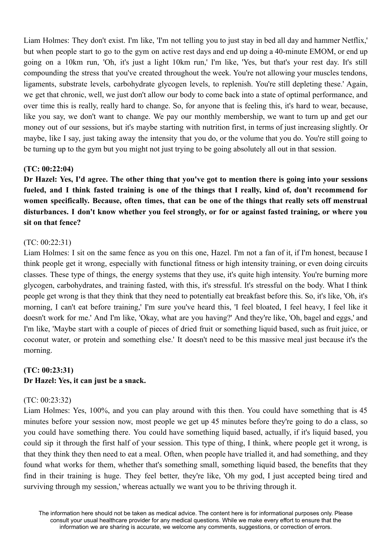Liam Holmes: They don't exist. I'm like, 'I'm not telling you to just stay in bed all day and hammer Netflix,' but when people start to go to the gym on active rest days and end up doing a 40-minute EMOM, or end up going on a 10km run, 'Oh, it's just a light 10km run,' I'm like, 'Yes, but that's your rest day. It's still compounding the stress that you've created throughout the week. You're not allowing your muscles tendons, ligaments, substrate levels, carbohydrate glycogen levels, to replenish. You're still depleting these.' Again, we get that chronic, well, we just don't allow our body to come back into a state of optimal performance, and over time this is really, really hard to change. So, for anyone that is feeling this, it's hard to wear, because, like you say, we don't want to change. We pay our monthly membership, we want to turn up and get our money out of our sessions, but it's maybe starting with nutrition first, in terms of just increasing slightly. Or maybe, like I say, just taking away the intensity that you do, or the volume that you do. You're still going to be turning up to the gym but you might not just trying to be going absolutely all out in that session.

#### **(TC: 00:22:04)**

Dr Hazel: Yes, I'd agree. The other thing that you've got to mention there is going into your sessions fueled, and I think fasted training is one of the things that I really, kind of, don't recommend for **women specifically. Because, often times, that can be one of the things that really sets off menstrual disturbances. I don't know whether you feel strongly, or for or against fasted training, or where you sit on that fence?**

## (TC: 00:22:31)

Liam Holmes: I sit on the same fence as you on this one, Hazel. I'm not a fan of it, if I'm honest, because I think people get it wrong, especially with functional fitness or high intensity training, or even doing circuits classes. These type of things, the energy systems that they use, it's quite high intensity. You're burning more glycogen, carbohydrates, and training fasted, with this, it's stressful. It's stressful on the body. What I think people get wrong is that they think that they need to potentially eat breakfast before this. So, it's like, 'Oh, it's morning, I can't eat before training,' I'm sure you've heard this, 'I feel bloated, I feel heavy, I feel like it doesn't work for me.' And I'm like, 'Okay, what are you having?' And they're like, 'Oh, bagel and eggs,' and I'm like, 'Maybe start with a couple of pieces of dried fruit or something liquid based, such as fruit juice, or coconut water, or protein and something else.' It doesn't need to be this massive meal just because it's the morning.

# **(TC: 00:23:31) Dr Hazel: Yes, it can just be a snack.**

#### (TC: 00:23:32)

Liam Holmes: Yes, 100%, and you can play around with this then. You could have something that is 45 minutes before your session now, most people we get up 45 minutes before they're going to do a class, so you could have something there. You could have something liquid based, actually, if it's liquid based, you could sip it through the first half of your session. This type of thing, I think, where people get it wrong, is that they think they then need to eat a meal. Often, when people have trialled it, and had something, and they found what works for them, whether that's something small, something liquid based, the benefits that they find in their training is huge. They feel better, they're like, 'Oh my god, I just accepted being tired and surviving through my session,' whereas actually we want you to be thriving through it.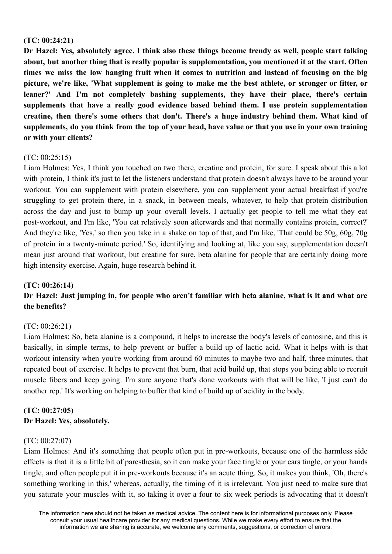#### **(TC: 00:24:21)**

**Dr Hazel: Yes, absolutely agree. I think also these things become trendy as well, people start talking about, but another thing that is really popular is supplementation, you mentioned it at the start. Often** times we miss the low hanging fruit when it comes to nutrition and instead of focusing on the big picture, we're like, 'What supplement is going to make me the best athlete, or stronger or fitter, or **leaner?' And I'm not completely bashing supplements, they have their place, there's certain supplements that have a really good evidence based behind them. I use protein supplementation creatine, then there's some others that don't. There's a huge industry behind them. What kind of** supplements, do you think from the top of your head, have value or that you use in your own training **or with your clients?**

## $(TC: 00.25.15)$

Liam Holmes: Yes, I think you touched on two there, creatine and protein, for sure. I speak about this a lot with protein. I think it's just to let the listeners understand that protein doesn't always have to be around your workout. You can supplement with protein elsewhere, you can supplement your actual breakfast if you're struggling to get protein there, in a snack, in between meals, whatever, to help that protein distribution across the day and just to bump up your overall levels. I actually get people to tell me what they eat post-workout, and I'm like, 'You eat relatively soon afterwards and that normally contains protein, correct?' And they're like, 'Yes,' so then you take in a shake on top of that, and I'm like, 'That could be 50g, 60g, 70g of protein in a twenty-minute period.' So, identifying and looking at, like you say, supplementation doesn't mean just around that workout, but creatine for sure, beta alanine for people that are certainly doing more high intensity exercise. Again, huge research behind it.

#### **(TC: 00:26:14)**

# Dr Hazel: Just jumping in, for people who aren't familiar with beta alanine, what is it and what are **the benefits?**

## (TC: 00:26:21)

Liam Holmes: So, beta alanine is a compound, it helps to increase the body's levels of carnosine, and this is basically, in simple terms, to help prevent or buffer a build up of lactic acid. What it helps with is that workout intensity when you're working from around 60 minutes to maybe two and half, three minutes, that repeated bout of exercise. It helps to prevent that burn, that acid build up, that stops you being able to recruit muscle fibers and keep going. I'm sure anyone that's done workouts with that will be like, 'I just can't do another rep.' It's working on helping to buffer that kind of build up of acidity in the body.

# **(TC: 00:27:05) Dr Hazel: Yes, absolutely.**

#### (TC: 00:27:07)

Liam Holmes: And it's something that people often put in pre-workouts, because one of the harmless side effects is that it is a little bit of paresthesia, so it can make your face tingle or your ears tingle, or your hands tingle, and often people put it in pre-workouts because it's an acute thing. So, it makes you think, 'Oh, there's something working in this,' whereas, actually, the timing of it is irrelevant. You just need to make sure that you saturate your muscles with it, so taking it over a four to six week periods is advocating that it doesn't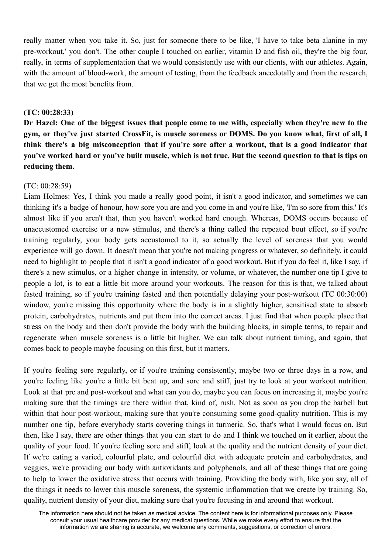really matter when you take it. So, just for someone there to be like, 'I have to take beta alanine in my pre-workout,' you don't. The other couple I touched on earlier, vitamin D and fish oil, they're the big four, really, in terms of supplementation that we would consistently use with our clients, with our athletes. Again, with the amount of blood-work, the amount of testing, from the feedback anecdotally and from the research, that we get the most benefits from.

### **(TC: 00:28:33)**

Dr Hazel: One of the biggest issues that people come to me with, especially when they're new to the gym, or they've just started CrossFit, is muscle soreness or DOMS. Do you know what, first of all, I think there's a big misconception that if you're sore after a workout, that is a good indicator that vou've worked hard or vou've built muscle, which is not true. But the second question to that is tips on **reducing them.**

#### $(TC: 00.28.59)$

Liam Holmes: Yes, I think you made a really good point, it isn't a good indicator, and sometimes we can thinking it's a badge of honour, how sore you are and you come in and you're like, 'I'm so sore from this.' It's almost like if you aren't that, then you haven't worked hard enough. Whereas, DOMS occurs because of unaccustomed exercise or a new stimulus, and there's a thing called the repeated bout effect, so if you're training regularly, your body gets accustomed to it, so actually the level of soreness that you would experience will go down. It doesn't mean that you're not making progress or whatever, so definitely, it could need to highlight to people that it isn't a good indicator of a good workout. But if you do feel it, like I say, if there's a new stimulus, or a higher change in intensity, or volume, or whatever, the number one tip I give to people a lot, is to eat a little bit more around your workouts. The reason for this is that, we talked about fasted training, so if you're training fasted and then potentially delaying your post-workout (TC 00:30:00) window, you're missing this opportunity where the body is in a slightly higher, sensitised state to absorb protein, carbohydrates, nutrients and put them into the correct areas. I just find that when people place that stress on the body and then don't provide the body with the building blocks, in simple terms, to repair and regenerate when muscle soreness is a little bit higher. We can talk about nutrient timing, and again, that comes back to people maybe focusing on this first, but it matters.

If you're feeling sore regularly, or if you're training consistently, maybe two or three days in a row, and you're feeling like you're a little bit beat up, and sore and stiff, just try to look at your workout nutrition. Look at that pre and post-workout and what can you do, maybe you can focus on increasing it, maybe you're making sure that the timings are there within that, kind of, rush. Not as soon as you drop the barbell but within that hour post-workout, making sure that you're consuming some good-quality nutrition. This is my number one tip, before everybody starts covering things in turmeric. So, that's what I would focus on. But then, like I say, there are other things that you can start to do and I think we touched on it earlier, about the quality of your food. If you're feeling sore and stiff, look at the quality and the nutrient density of your diet. If we're eating a varied, colourful plate, and colourful diet with adequate protein and carbohydrates, and veggies, we're providing our body with antioxidants and polyphenols, and all of these things that are going to help to lower the oxidative stress that occurs with training. Providing the body with, like you say, all of the things it needs to lower this muscle soreness, the systemic inflammation that we create by training. So, quality, nutrient density of your diet, making sure that you're focusing in and around that workout.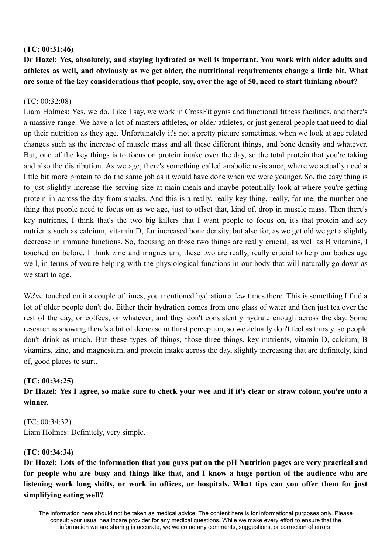### **(TC: 00:31:46)**

**Dr Hazel: Yes, absolutely, and staying hydrated as well is important. You work with older adults and athletes as well, and obviously as we get older, the nutritional requirements change a little bit. What are some of the key considerations that people, say, over the age of 50, need to start thinking about?**

### (TC: 00:32:08)

Liam Holmes: Yes, we do. Like I say, we work in CrossFit gyms and functional fitness facilities, and there's a massive range. We have a lot of masters athletes, or older athletes, or just general people that need to dial up their nutrition as they age. Unfortunately it's not a pretty picture sometimes, when we look at age related changes such as the increase of muscle mass and all these different things, and bone density and whatever. But, one of the key things is to focus on protein intake over the day, so the total protein that you're taking and also the distribution. As we age, there's something called anabolic resistance, where we actually need a little bit more protein to do the same job as it would have done when we were younger. So, the easy thing is to just slightly increase the serving size at main meals and maybe potentially look at where you're getting protein in across the day from snacks. And this is a really, really key thing, really, for me, the number one thing that people need to focus on as we age, just to offset that, kind of, drop in muscle mass. Then there's key nutrients, I think that's the two big killers that I want people to focus on, it's that protein and key nutrients such as calcium, vitamin D, for increased bone density, but also for, as we get old we get a slightly decrease in immune functions. So, focusing on those two things are really crucial, as well as B vitamins, I touched on before. I think zinc and magnesium, these two are really, really crucial to help our bodies age well, in terms of you're helping with the physiological functions in our body that will naturally go down as we start to age.

We've touched on it a couple of times, you mentioned hydration a few times there. This is something I find a lot of older people don't do. Either their hydration comes from one glass of water and then just tea over the rest of the day, or coffees, or whatever, and they don't consistently hydrate enough across the day. Some research is showing there's a bit of decrease in thirst perception, so we actually don't feel as thirsty, so people don't drink as much. But these types of things, those three things, key nutrients, vitamin D, calcium, B vitamins, zinc, and magnesium, and protein intake across the day, slightly increasing that are definitely, kind of, good places to start.

## **(TC: 00:34:25)**

Dr Hazel: Yes I agree, so make sure to check your wee and if it's clear or straw colour, you're onto a **winner.**

(TC: 00:34:32) Liam Holmes: Definitely, very simple.

#### **(TC: 00:34:34)**

Dr Hazel: Lots of the information that you guys put on the pH Nutrition pages are very practical and for people who are busy and things like that, and I know a huge portion of the audience who are listening work long shifts, or work in offices, or hospitals. What tips can you offer them for just **simplifying eating well?**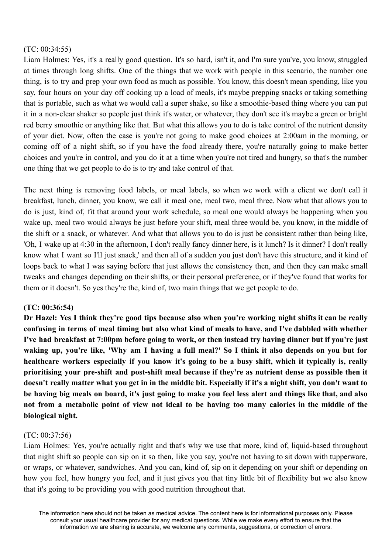### (TC: 00:34:55)

Liam Holmes: Yes, it's a really good question. It's so hard, isn't it, and I'm sure you've, you know, struggled at times through long shifts. One of the things that we work with people in this scenario, the number one thing, is to try and prep your own food as much as possible. You know, this doesn't mean spending, like you say, four hours on your day off cooking up a load of meals, it's maybe prepping snacks or taking something that is portable, such as what we would call a super shake, so like a smoothie-based thing where you can put it in a non-clear shaker so people just think it's water, or whatever, they don't see it's maybe a green or bright red berry smoothie or anything like that. But what this allows you to do is take control of the nutrient density of your diet. Now, often the case is you're not going to make good choices at 2:00am in the morning, or coming off of a night shift, so if you have the food already there, you're naturally going to make better choices and you're in control, and you do it at a time when you're not tired and hungry, so that's the number one thing that we get people to do is to try and take control of that.

The next thing is removing food labels, or meal labels, so when we work with a client we don't call it breakfast, lunch, dinner, you know, we call it meal one, meal two, meal three. Now what that allows you to do is just, kind of, fit that around your work schedule, so meal one would always be happening when you wake up, meal two would always be just before your shift, meal three would be, you know, in the middle of the shift or a snack, or whatever. And what that allows you to do is just be consistent rather than being like, 'Oh, I wake up at 4:30 in the afternoon, I don't really fancy dinner here, is it lunch? Is it dinner? I don't really know what I want so I'll just snack,' and then all of a sudden you just don't have this structure, and it kind of loops back to what I was saying before that just allows the consistency then, and then they can make small tweaks and changes depending on their shifts, or their personal preference, or if they've found that works for them or it doesn't. So yes they're the, kind of, two main things that we get people to do.

## **(TC: 00:36:54)**

Dr Hazel: Yes I think they're good tips because also when you're working night shifts it can be really confusing in terms of meal timing but also what kind of meals to have, and I've dabbled with whether I've had breakfast at 7:00pm before going to work, or then instead try having dinner but if you're just waking up, you're like, 'Why am I having a full meal?' So I think it also depends on you but for healthcare workers especially if you know it's going to be a busy shift, which it typically is, really **prioritising your pre-shift and post-shift meal because if they're as nutrient dense as possible then it** doesn't really matter what you get in in the middle bit. Especially if it's a night shift, you don't want to be having big meals on board, it's just going to make you feel less alert and things like that, and also not from a metabolic point of view not ideal to be having too many calories in the middle of the **biological night.**

## (TC: 00:37:56)

Liam Holmes: Yes, you're actually right and that's why we use that more, kind of, liquid-based throughout that night shift so people can sip on it so then, like you say, you're not having to sit down with tupperware, or wraps, or whatever, sandwiches. And you can, kind of, sip on it depending on your shift or depending on how you feel, how hungry you feel, and it just gives you that tiny little bit of flexibility but we also know that it's going to be providing you with good nutrition throughout that.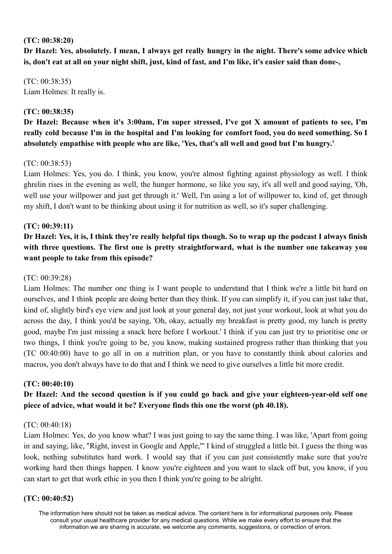#### **(TC: 00:38:20)**

Dr Hazel: Yes, absolutely. I mean, I always get really hungry in the night. There's some advice which **is, don't eat at all on your night shift, just, kind of fast, and I'm like, it's easier said than done-,**

(TC: 00:38:35) Liam Holmes: It really is.

### **(TC: 00:38:35)**

**Dr Hazel: Because when it's 3:00am, I'm super stressed, I've got X amount of patients to see, I'm** really cold because I'm in the hospital and I'm looking for comfort food, you do need something. So I **absolutely empathise with people who are like, 'Yes, that's all well and good but I'm hungry.'**

#### (TC: 00:38:53)

Liam Holmes: Yes, you do. I think, you know, you're almost fighting against physiology as well. I think ghrelin rises in the evening as well, the hunger hormone, so like you say, it's all well and good saying, 'Oh, well use your willpower and just get through it.' Well, I'm using a lot of willpower to, kind of, get through my shift, I don't want to be thinking about using it for nutrition as well, so it's super challenging.

#### **(TC: 00:39:11)**

Dr Hazel: Yes, it is, I think they're really helpful tips though. So to wrap up the podcast I always finish **with three questions. The first one is pretty straightforward, what is the number one takeaway you want people to take from this episode?**

#### (TC: 00:39:28)

Liam Holmes: The number one thing is I want people to understand that I think we're a little bit hard on ourselves, and I think people are doing better than they think. If you can simplify it, if you can just take that, kind of, slightly bird's eye view and just look at your general day, not just your workout, look at what you do across the day, I think you'd be saying, 'Oh, okay, actually my breakfast is pretty good, my lunch is pretty good, maybe I'm just missing a snack here before I workout.' I think if you can just try to prioritise one or two things, I think you're going to be, you know, making sustained progress rather than thinking that you (TC 00:40:00) have to go all in on a nutrition plan, or you have to constantly think about calories and macros, you don't always have to do that and I think we need to give ourselves a little bit more credit.

#### **(TC: 00:40:10)**

# **Dr Hazel: And the second question is if you could go back and give your eighteen-year-old self one piece of advice, what would it be? Everyone finds this one the worst (ph 40.18).**

#### (TC: 00:40:18)

Liam Holmes: Yes, do you know what? I was just going to say the same thing. I was like, 'Apart from going in and saying, like, "Right, invest in Google and Apple,"' I kind of struggled a little bit. I guess the thing was look, nothing substitutes hard work. I would say that if you can just consistently make sure that you're working hard then things happen. I know you're eighteen and you want to slack off but, you know, if you can start to get that work ethic in you then I think you're going to be alright.

#### **(TC: 00:40:52)**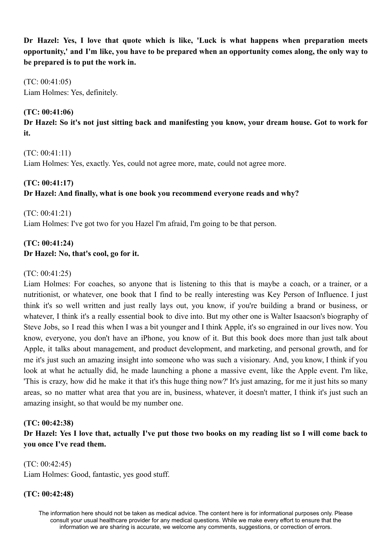**Dr Hazel: Yes, I love that quote which is like, 'Luck is what happens when preparation meets** opportunity,' and I'm like, you have to be prepared when an opportunity comes along, the only way to **be prepared is to put the work in.**

(TC: 00:41:05) Liam Holmes: Yes, definitely.

## **(TC: 00:41:06)**

Dr Hazel: So it's not just sitting back and manifesting you know, your dream house. Got to work for **it.**

(TC: 00:41:11) Liam Holmes: Yes, exactly. Yes, could not agree more, mate, could not agree more.

#### **(TC: 00:41:17)**

# **Dr Hazel: And finally, what is one book you recommend everyone reads and why?**

 $(TC: 00.41.21)$ Liam Holmes: I've got two for you Hazel I'm afraid, I'm going to be that person.

# **(TC: 00:41:24) Dr Hazel: No, that's cool, go for it.**

## (TC: 00:41:25)

Liam Holmes: For coaches, so anyone that is listening to this that is maybe a coach, or a trainer, or a nutritionist, or whatever, one book that I find to be really interesting was Key Person of Influence. I just think it's so well written and just really lays out, you know, if you're building a brand or business, or whatever, I think it's a really essential book to dive into. But my other one is Walter Isaacson's biography of Steve Jobs, so I read this when I was a bit younger and I think Apple, it's so engrained in our lives now. You know, everyone, you don't have an iPhone, you know of it. But this book does more than just talk about Apple, it talks about management, and product development, and marketing, and personal growth, and for me it's just such an amazing insight into someone who was such a visionary. And, you know, I think if you look at what he actually did, he made launching a phone a massive event, like the Apple event. I'm like, 'This is crazy, how did he make it that it's this huge thing now?' It's just amazing, for me it just hits so many areas, so no matter what area that you are in, business, whatever, it doesn't matter, I think it's just such an amazing insight, so that would be my number one.

## **(TC: 00:42:38)**

Dr Hazel: Yes I love that, actually I've put those two books on my reading list so I will come back to **you once I've read them.**

(TC: 00:42:45) Liam Holmes: Good, fantastic, yes good stuff.

## **(TC: 00:42:48)**